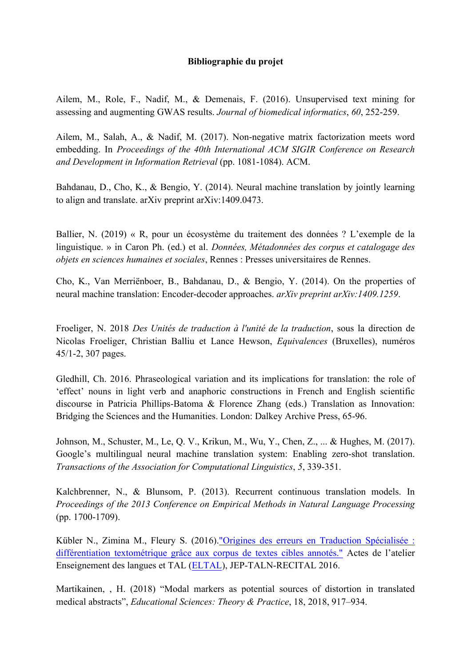## **Bibliographie du projet**

Ailem, M., Role, F., Nadif, M., & Demenais, F. (2016). Unsupervised text mining for assessing and augmenting GWAS results. *Journal of biomedical informatics*, *60*, 252-259.

Ailem, M., Salah, A., & Nadif, M. (2017). Non-negative matrix factorization meets word embedding. In *Proceedings of the 40th International ACM SIGIR Conference on Research and Development in Information Retrieval* (pp. 1081-1084). ACM.

Bahdanau, D., Cho, K., & Bengio, Y. (2014). Neural machine translation by jointly learning to align and translate. arXiv preprint arXiv:1409.0473.

Ballier, N. (2019) « R, pour un écosystème du traitement des données ? L'exemple de la linguistique. » in Caron Ph. (ed.) et al. *Données, Métadonnées des corpus et catalogage des objets en sciences humaines et sociales*, Rennes : Presses universitaires de Rennes.

Cho, K., Van Merriënboer, B., Bahdanau, D., & Bengio, Y. (2014). On the properties of neural machine translation: Encoder-decoder approaches. *arXiv preprint arXiv:1409.1259*.

Froeliger, N. 2018 *Des Unités de traduction à l'unité de la traduction*, sous la direction de Nicolas Froeliger, Christian Balliu et Lance Hewson, *Equivalences* (Bruxelles), numéros 45/1-2, 307 pages.

Gledhill, Ch. 2016. Phraseological variation and its implications for translation: the role of 'effect' nouns in light verb and anaphoric constructions in French and English scientific discourse in Patricia Phillips-Batoma & Florence Zhang (eds.) Translation as Innovation: Bridging the Sciences and the Humanities. London: Dalkey Archive Press, 65-96.

Johnson, M., Schuster, M., Le, Q. V., Krikun, M., Wu, Y., Chen, Z., ... & Hughes, M. (2017). Google's multilingual neural machine translation system: Enabling zero-shot translation. *Transactions of the Association for Computational Linguistics*, *5*, 339-351.

Kalchbrenner, N., & Blunsom, P. (2013). Recurrent continuous translation models. In *Proceedings of the 2013 Conference on Empirical Methods in Natural Language Processing* (pp. 1700-1709).

Kübler N., Zimina M., Fleury S. (2016)."Origines des erreurs en Traduction Spécialisée : différentiation textométrique grâce aux corpus de textes cibles annotés." Actes de l'atelier Enseignement des langues et TAL (ELTAL), JEP-TALN-RECITAL 2016.

Martikainen, , H. (2018) "Modal markers as potential sources of distortion in translated medical abstracts", *Educational Sciences: Theory & Practice*, 18, 2018, 917–934.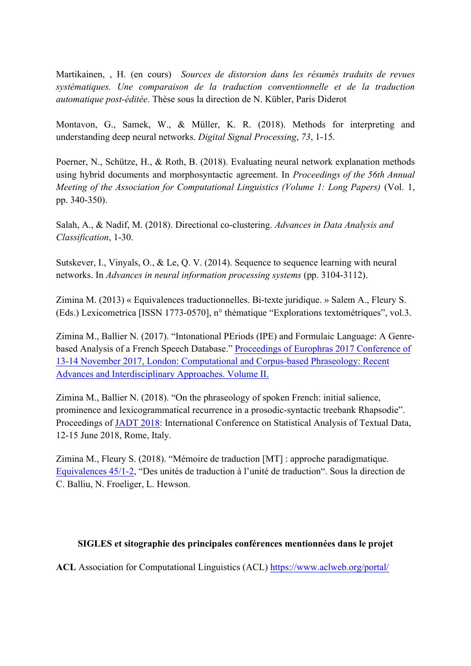Martikainen, , H. (en cours) *Sources de distorsion dans les résumés traduits de revues systématiques. Une comparaison de la traduction conventionnelle et de la traduction automatique post-éditée*. Thèse sous la direction de N. Kübler, Paris Diderot

Montavon, G., Samek, W., & Müller, K. R. (2018). Methods for interpreting and understanding deep neural networks. *Digital Signal Processing*, *73*, 1-15.

Poerner, N., Schütze, H., & Roth, B. (2018). Evaluating neural network explanation methods using hybrid documents and morphosyntactic agreement. In *Proceedings of the 56th Annual Meeting of the Association for Computational Linguistics (Volume 1: Long Papers)* (Vol. 1, pp. 340-350).

Salah, A., & Nadif, M. (2018). Directional co-clustering. *Advances in Data Analysis and Classification*, 1-30.

Sutskever, I., Vinyals, O., & Le, Q. V. (2014). Sequence to sequence learning with neural networks. In *Advances in neural information processing systems* (pp. 3104-3112).

Zimina M. (2013) « Equivalences traductionnelles. Bi-texte juridique. » Salem A., Fleury S. (Eds.) Lexicometrica [ISSN 1773-0570], n° thématique "Explorations textométriques", vol.3.

Zimina M., Ballier N. (2017). "Intonational PEriods (IPE) and Formulaic Language: A Genrebased Analysis of a French Speech Database." Proceedings of Europhras 2017 Conference of 13-14 November 2017, London: Computational and Corpus-based Phraseology: Recent Advances and Interdisciplinary Approaches. Volume II.

Zimina M., Ballier N. (2018). "On the phraseology of spoken French: initial salience, prominence and lexicogrammatical recurrence in a prosodic-syntactic treebank Rhapsodie". Proceedings of JADT 2018: International Conference on Statistical Analysis of Textual Data, 12-15 June 2018, Rome, Italy.

Zimina M., Fleury S. (2018). "Mémoire de traduction [MT] : approche paradigmatique. Equivalences 45/1-2, "Des unités de traduction à l'unité de traduction". Sous la direction de C. Balliu, N. Froeliger, L. Hewson.

## **SIGLES et sitographie des principales conférences mentionnées dans le projet**

**ACL** Association for Computational Linguistics (ACL) https://www.aclweb.org/portal/